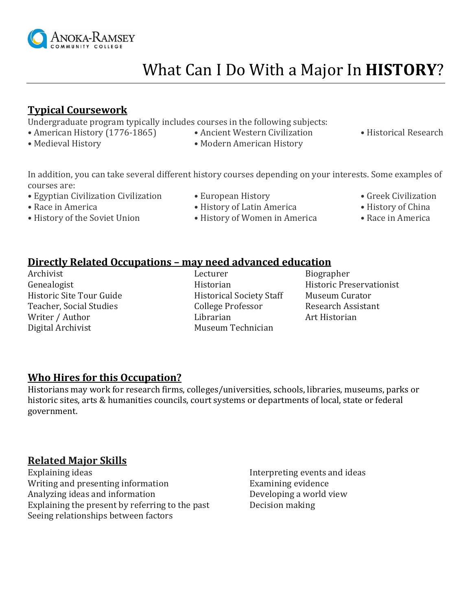

# What Can I Do With a Major In **HISTORY**?

#### **Typical Coursework**

Undergraduate program typically includes courses in the following subjects:

- American History (1776-1865) Ancient Western Civilization Historical Research
- 
- 
- 
- Medieval History Modern American History

In addition, you can take several different history courses depending on your interests. Some examples of courses are:

- Egyptian Civilization Civilization European History Greek Civilization
- 
- History of the Soviet Union History of Women in America Race in America
- 
- 
- Race in America History of Latin America History of China
	-

## **Directly Related Occupations – may need advanced education**

Archivist Lecturer Biographer Genealogist Historian Historic Preservationist Historic Site Tour Guide Historical Society Staff Museum Curator Teacher, Social Studies **College Professor** Research Assistant Writer / Author Librarian Librarian Art Historian Digital Archivist Museum Technician

#### **Who Hires for this Occupation?**

Historians may work for research firms, colleges/universities, schools, libraries, museums, parks or historic sites, arts & humanities councils, court systems or departments of local, state or federal government.

#### **Related Major Skills**

Explaining ideas **Interpreting events and ideas** Writing and presenting information Examining evidence Analyzing ideas and information Developing a world view Explaining the present by referring to the past Decision making Seeing relationships between factors